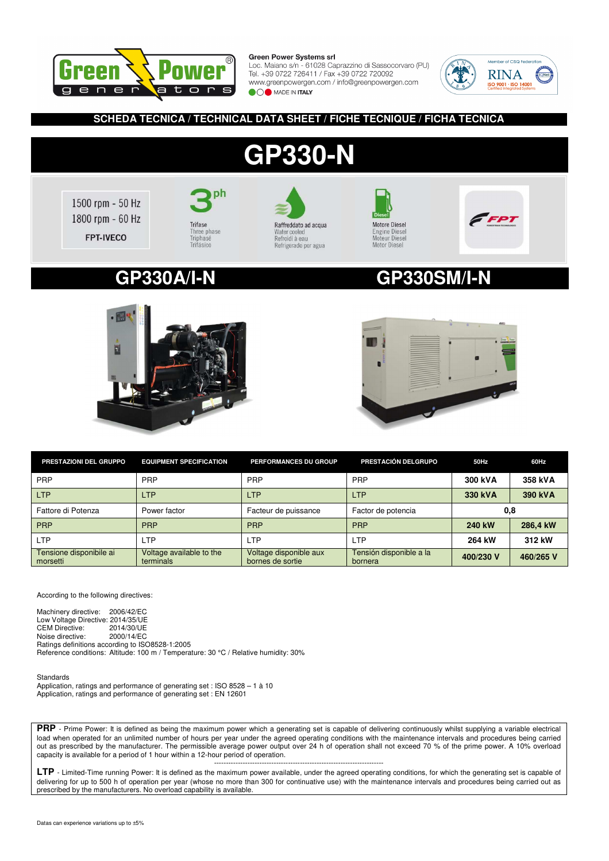

Loc. Maiano s/n - 61028 Caprazzino di Sassocorvaro (PU) Tel. +39 0722 726411 / Fax +39 0722 720092 www.greenpowergen.com / info@greenpowergen.com **OO** MADE IN ITALY



## **SCHEDA TECNICA / TECHNICAL DATA SHEET / FICHE TECNIQUE / FICHA TECNICA**

# **GP330-N**

1500 rpm - 50 Hz 1800 rpm - 60 Hz FPT-IVECO









## **GP330A/I-N GP330SM/I-N**





| PRESTAZIONI DEL GRUPPO              | <b>EQUIPMENT SPECIFICATION</b>        | PERFORMANCES DU GROUP                      | PRESTACIÓN DELGRUPO                | 50Hz      | 60Hz      |
|-------------------------------------|---------------------------------------|--------------------------------------------|------------------------------------|-----------|-----------|
| <b>PRP</b>                          | PRP                                   | PRP                                        | PRP                                | 300 kVA   | 358 kVA   |
| <b>LTP</b>                          | <b>LTP</b>                            | <b>LTP</b>                                 | <b>LTP</b>                         | 330 kVA   | 390 kVA   |
| Fattore di Potenza                  | Power factor                          | Facteur de puissance                       | Factor de potencia                 | 0,8       |           |
| <b>PRP</b>                          | <b>PRP</b>                            | <b>PRP</b>                                 | <b>PRP</b>                         | 240 kW    | 286.4 kW  |
| <b>LTP</b>                          | LTP                                   | <b>LTP</b>                                 | <b>LTP</b>                         | 264 kW    | 312 kW    |
| Tensione disponibile ai<br>morsetti | Voltage available to the<br>terminals | Voltage disponible aux<br>bornes de sortie | Tensión disponible a la<br>bornera | 400/230 V | 460/265 V |

According to the following directives:

Machinery directive: 2006/42/EC Low Voltage Directive: 2014/35/UE<br>CEM Directive: 2014/30/UE CEM Directive: 2014/30/UE<br>Noise directive: 2000/14/EC Noise directive: Ratings definitions according to ISO8528-1:2005 Reference conditions: Altitude: 100 m / Temperature: 30 °C / Relative humidity: 30%

Standards Application, ratings and performance of generating set : ISO 8528 – 1 à 10 Application, ratings and performance of generating set : EN 12601

**PRP** - Prime Power: It is defined as being the maximum power which a generating set is capable of delivering continuously whilst supplying a variable electrical load when operated for an unlimited number of hours per year under the agreed operating conditions with the maintenance intervals and procedures being carried out as prescribed by the manufacturer. The permissible average power output over 24 h of operation shall not exceed 70 % of the prime power. A 10% overload capacity is available for a period of 1 hour within a 12-hour period of operation.

----------------------------------------------------------------------- **LTP** - Limited-Time running Power: It is defined as the maximum power available, under the agreed operating conditions, for which the generating set is capable of delivering for up to 500 h of operation per year (whose no more than 300 for continuative use) with the maintenance intervals and procedures being carried out as prescribed by the manufacturers. No overload capability is available.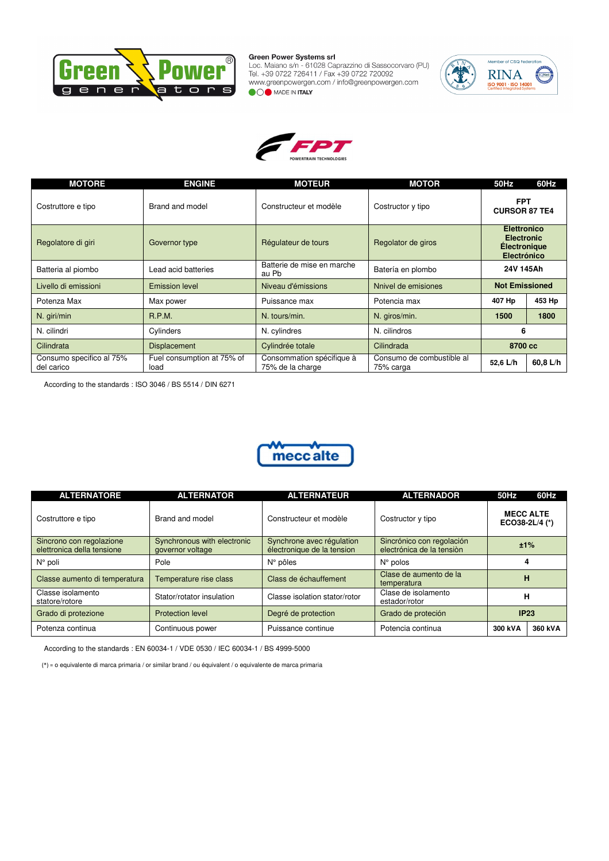

Green Power Systems sri<br>Loc. Maiano s/n - 61028 Caprazzino di Sassocorvaro (PU)<br>Tel. +39 0722 726411 / Fax +39 0722 720092<br>www.greenpowergen.com / info@greenpowergen.com OO MADE IN ITALY





| <b>MOTORE</b>                          | <b>ENGINE</b>                      | <b>MOTEUR</b>                                 | <b>MOTOR</b>                           | 50Hz                                                                                 | 60Hz     |
|----------------------------------------|------------------------------------|-----------------------------------------------|----------------------------------------|--------------------------------------------------------------------------------------|----------|
| Costruttore e tipo                     | Brand and model                    | Constructeur et modèle                        | Costructor y tipo                      | <b>FPT</b><br><b>CURSOR 87 TE4</b>                                                   |          |
| Regolatore di giri                     | Governor type                      | Régulateur de tours                           | Regolator de giros                     | <b>Elettronico</b><br><b>Electronic</b><br><b>Électronique</b><br><b>Electrónico</b> |          |
| Batteria al piombo                     | Lead acid batteries                | Batterie de mise en marche<br>au Pb           | Batería en plombo                      | 24V 145Ah                                                                            |          |
| Livello di emissioni                   | <b>Emission level</b>              | Niveau d'émissions                            | Nnivel de emisiones                    | <b>Not Emissioned</b>                                                                |          |
| Potenza Max                            | Max power                          | Puissance max                                 | Potencia max                           | 407 Hp                                                                               | 453 Hp   |
| N. giri/min                            | <b>R.P.M.</b>                      | N. tours/min.                                 | N. giros/min.                          | 1500                                                                                 | 1800     |
| N. cilindri                            | Cylinders                          | N. cylindres                                  | N. cilindros                           | 6                                                                                    |          |
| Cilindrata                             | <b>Displacement</b>                | Cylindrée totale                              | Cilindrada                             | 8700 cc                                                                              |          |
| Consumo specifico al 75%<br>del carico | Fuel consumption at 75% of<br>load | Consommation spécifique à<br>75% de la charge | Consumo de combustible al<br>75% carga | 52,6 L/h                                                                             | 60.8 L/h |

According to the standards : ISO 3046 / BS 5514 / DIN 6271



| <b>ALTERNATORE</b>                                     | <b>ALTERNATOR</b>                                                                        | <b>ALTERNATEUR</b>                                      | <b>ALTERNADOR</b>                                      | <b>50Hz</b>                        | 60Hz |
|--------------------------------------------------------|------------------------------------------------------------------------------------------|---------------------------------------------------------|--------------------------------------------------------|------------------------------------|------|
| Costruttore e tipo                                     | Brand and model                                                                          | Constructeur et modèle                                  | Costructor y tipo                                      | <b>MECC ALTE</b><br>ECO38-2L/4 (*) |      |
| Sincrono con regolazione<br>elettronica della tensione | Synchronous with electronic<br>governor voltage                                          | Synchrone avec régulation<br>électronique de la tension | Sincrónico con regolación<br>electrónica de la tensión | ±1%                                |      |
| $N^{\circ}$ poli                                       | Pole                                                                                     | $N^{\circ}$ pôles                                       | $N^{\circ}$ polos                                      |                                    |      |
| Classe aumento di temperatura                          | Clase de aumento de la<br>Class de échauffement<br>Temperature rise class<br>temperatura |                                                         | н                                                      |                                    |      |
| Classe isolamento<br>statore/rotore                    | Stator/rotator insulation                                                                | Classe isolation stator/rotor                           | Clase de isolamento<br>estador/rotor                   | н                                  |      |
| Grado di protezione                                    | <b>Protection level</b>                                                                  | Degré de protection                                     | Grado de proteción                                     | IP23                               |      |
| Potenza continua                                       | Continuous power                                                                         | Puissance continue                                      | Potencia continua                                      | 300 kVA<br>360 kVA                 |      |

According to the standards : EN 60034-1 / VDE 0530 / IEC 60034-1 / BS 4999-5000

(\*) = o equivalente di marca primaria / or similar brand / ou équivalent / o equivalente de marca primaria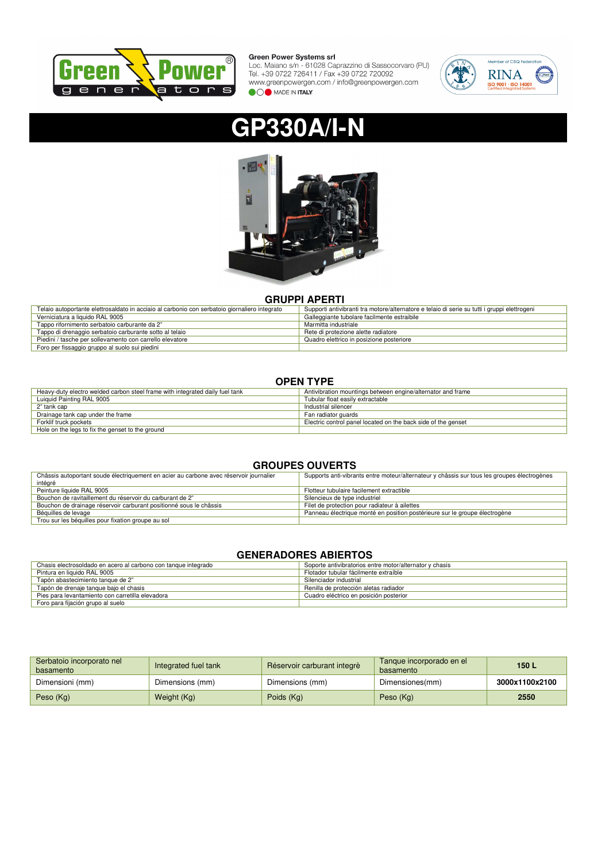

Green Power Systems Sri<br>Loc. Maiano s/n - 61028 Caprazzino di Sassocorvaro (PU)<br>Tel. +39 0722 726411 / Fax +39 0722 720092<br>www.greenpowergen.com / info@greenpowergen.com **OOO** MADE IN ITALY



# **GP330A/I-N**



## **GRUPPI APERTI**

| Telaio autoportante elettrosaldato in acciaio al carbonio con serbatoio giornaliero integrato | Supporti antivibranti tra motore/alternatore e telaio di serie su tutti i gruppi elettrogeni |
|-----------------------------------------------------------------------------------------------|----------------------------------------------------------------------------------------------|
| Verniciatura a liquido RAL 9005                                                               | Galleggiante tubolare facilmente estraibile                                                  |
| Tappo rifornimento serbatoio carburante da 2"                                                 | Marmitta industriale                                                                         |
| Tappo di drenaggio serbatoio carburante sotto al telaio                                       | Rete di protezione alette radiatore                                                          |
| Piedini / tasche per sollevamento con carrello elevatore                                      | Quadro elettrico in posizione posteriore                                                     |
| Foro per fissaggio gruppo al suolo sui piedini                                                |                                                                                              |

## **OPEN TYPE**

| Heavy-duty electro welded carbon steel frame with integrated daily fuel tank | Antivibration mountings between engine/alternator and frame   |
|------------------------------------------------------------------------------|---------------------------------------------------------------|
| Luiguid Painting RAL 9005                                                    | Tubular float easily extractable                              |
| 2" tank cap                                                                  | Industrial silencer                                           |
| Drainage tank cap under the frame                                            | Fan radiator guards                                           |
| Forklif truck pockets                                                        | Electric control panel located on the back side of the genset |
| Hole on the legs to fix the genset to the ground                             |                                                               |

## **GROUPES OUVERTS**

| Châssis autoportant soude électriquement en acier au carbone avec réservoir journalier | Supports anti-vibrants entre moteur/alternateur y châssis sur tous les groupes électrogènes |
|----------------------------------------------------------------------------------------|---------------------------------------------------------------------------------------------|
| intégré                                                                                |                                                                                             |
| Peinture liquide RAL 9005                                                              | Flotteur tubulaire facilement extractible                                                   |
| Bouchon de ravitaillement du réservoir du carburant de 2"                              | Silencieux de type industriel                                                               |
| Bouchon de drainage réservoir carburant positionné sous le châssis                     | Filet de protection pour radiateur à ailettes                                               |
| Béquilles de levage                                                                    | Panneau électrique monté en position postérieure sur le groupe électrogène                  |
| Trou sur les béquilles pour fixation groupe au sol                                     |                                                                                             |

## **GENERADORES ABIERTOS**

| Chasis electrosoldado en acero al carbono con tanque integrado | Soporte antivibratorios entre motor/alternator y chasis |
|----------------------------------------------------------------|---------------------------------------------------------|
| Pintura en liquido RAL 9005                                    | Flotador tubular fácilmente extraíble                   |
| Tapón abastecimiento tanque de 2"                              | Silenciador industrial                                  |
| Tapón de drenaje tanque bajo el chasis                         | Renilla de protección aletas radiador                   |
| Pies para levantamiento con carretilla elevadora               | Cuadro eléctrico en posición posterior                  |
| Foro para fijación grupo al suelo                              |                                                         |

| Serbatoio incorporato nel<br>basamento | Integrated fuel tank | Réservoir carburant integrè | Tanque incorporado en el<br>basamento | 150L           |
|----------------------------------------|----------------------|-----------------------------|---------------------------------------|----------------|
| Dimensioni (mm)                        | Dimensions (mm)      | Dimensions (mm)             | Dimensiones(mm)                       | 3000x1100x2100 |
| Peso (Kg)                              | Weight (Kg)          | Poids (Kg)                  | Peso (Kg)                             | 2550           |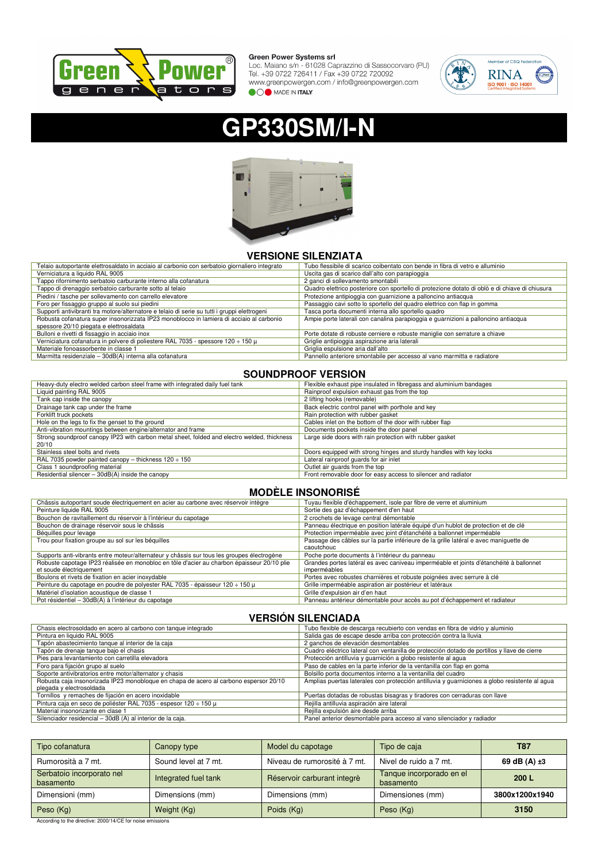

Green Power Systems srl<br>Loc. Maiano s/n - 61028 Caprazzino di Sassocorvaro (PU)<br>Tel. +39 0722 726411 / Fax +39 0722 720092<br>www.greenpowergen.com / info@greenpowergen.com<br>www.greenpowergen.com / info@greenpowergen.com **OOO** MADE IN ITALY



# **GP330SM/I-N**



## **VERSIONE SILENZIATA**

| Telaio autoportante elettrosaldato in acciaio al carbonio con serbatoio giornaliero integrato | Tubo flessibile di scarico coibentato con bende in fibra di vetro e alluminio                  |
|-----------------------------------------------------------------------------------------------|------------------------------------------------------------------------------------------------|
| Verniciatura a liquido RAL 9005                                                               | Uscita gas di scarico dall'alto con parapioggia                                                |
| Tappo rifornimento serbatoio carburante interno alla cofanatura                               | 2 ganci di sollevamento smontabili                                                             |
| Tappo di drenaggio serbatoio carburante sotto al telaio                                       | Quadro elettrico posteriore con sportello di protezione dotato di oblò e di chiave di chiusura |
| Piedini / tasche per sollevamento con carrello elevatore                                      | Protezione antipioggia con guarnizione a palloncino antiacqua                                  |
| Foro per fissaggio gruppo al suolo sui piedini                                                | Passaggio cavi sotto lo sportello del quadro elettrico con flap in gomma                       |
| Supporti antivibranti tra motore/alternatore e telaio di serie su tutti i gruppi elettrogeni  | Tasca porta documenti interna allo sportello quadro                                            |
| Robusta cofanatura super insonorizzata IP23 monoblocco in lamiera di acciaio al carbonio      | Ampie porte laterali con canalina parapioggia e quarnizioni a palloncino antiacqua             |
| spessore 20/10 piegata e elettrosaldata                                                       |                                                                                                |
| Bulloni e rivetti di fissaggio in acciaio inox                                                | Porte dotate di robuste cerniere e robuste maniglie con serrature a chiave                     |
| Verniciatura cofanatura in polvere di poliestere RAL 7035 - spessore 120 $\div$ 150 $\mu$     | Griglie antipioggia aspirazione aria laterali                                                  |
| Materiale fonoassorbente in classe 1                                                          | Griglia espulsione aria dall'alto                                                              |
| Marmitta residenziale - 30dB(A) interna alla cofanatura                                       | Pannello anteriore smontabile per accesso al vano marmitta e radiatore                         |

## **SOUNDPROOF VERSION**

| Heavy-duty electro welded carbon steel frame with integrated daily fuel tank                         | Flexible exhaust pipe insulated in fibregass and aluminium bandages |
|------------------------------------------------------------------------------------------------------|---------------------------------------------------------------------|
| Liquid painting RAL 9005                                                                             | Rainproof expulsion exhaust gas from the top                        |
| Tank cap inside the canopy                                                                           | 2 lifting hooks (removable)                                         |
| Drainage tank cap under the frame                                                                    | Back electric control panel with porthole and key                   |
| Forklift truck pockets                                                                               | Rain protection with rubber gasket                                  |
| Hole on the legs to fix the genset to the ground                                                     | Cables inlet on the bottom of the door with rubber flap             |
| Anti-vibration mountings between engine/alternator and frame                                         | Documents pockets inside the door panel                             |
| Strong soundproof canopy IP23 with carbon metal sheet, folded and electro welded, thickness<br>20/10 | Large side doors with rain protection with rubber gasket            |
| Stainless steel bolts and rivets                                                                     | Doors equipped with strong hinges and sturdy handles with key locks |
| RAL 7035 powder painted canopy – thickness $120 \div 150$                                            | Lateral rainproof quards for air inlet                              |
| Class 1 soundproofing material                                                                       | Outlet air quards from the top                                      |
| Residential silencer - 30dB(A) inside the canopy                                                     | Front removable door for easy access to silencer and radiator       |

## **MODÈLE INSONORISÉ**

| Châssis autoportant soude électriquement en acier au carbone avec réservoir intègre        | Tuyau flexible d'échappement, isole par fibre de verre et aluminium                    |
|--------------------------------------------------------------------------------------------|----------------------------------------------------------------------------------------|
| Peinture liquide RAL 9005                                                                  | Sortie des gaz d'échappement d'en haut                                                 |
| Bouchon de ravitaillement du réservoir à l'intérieur du capotage                           | 2 crochets de levage central démontable                                                |
| Bouchon de drainage réservoir sous le châssis                                              | Panneau électrique en position latérale équipé d'un hublot de protection et de clé     |
| Béquilles pour levage                                                                      | Protection imperméable avec joint d'étanchéité a ballonnet imperméable                 |
| Trou pour fixation groupe au sol sur les béquilles                                         | Passage des câbles sur la partie inférieure de la grille latéral e avec maniquette de  |
|                                                                                            | caoutchouc                                                                             |
| Supports anti-vibrants entre moteur/alternateur y châssis sur tous les groupes électrogène | Poche porte documents à l'intérieur du panneau                                         |
| Robuste capotage IP23 réalisée en monobloc en tôle d'acier au charbon épaisseur 20/10 plie | Grandes portes latéral es avec caniveau imperméable et joints d'étanchéité à ballonnet |
| et soude électriquement                                                                    | imperméables                                                                           |
| Boulons et rivets de fixation en acier inoxydable                                          | Portes avec robustes charnières et robuste poignées avec serrure à clé                 |
| Peinture du capotage en poudre de polyester RAL 7035 - épaisseur 120 $\div$ 150 $\mu$      | Grille imperméable aspiration air postérieur et latéraux                               |
| Matériel d'isolation acoustique de classe 1                                                | Grille d'expulsion air d'en haut                                                       |
| Pot résidentiel – 30dB(A) à l'intérieur du capotage                                        | Panneau antérieur démontable pour accès au pot d'échappement et radiateur              |

## **VERSIÓN SILENCIADA**

| Chasis electrosoldado en acero al carbono con tanque integrado                        | Tubo flexible de descarga recubierto con vendas en fibra de vidrio y aluminio                 |
|---------------------------------------------------------------------------------------|-----------------------------------------------------------------------------------------------|
| Pintura en liquido RAL 9005                                                           | Salida gas de escape desde arriba con protección contra la lluvia                             |
| Tapón abastecimiento tanque al interior de la caja                                    | 2 ganchos de elevación desmontables                                                           |
| Tapón de drenaje tanque bajo el chasis                                                | Cuadro eléctrico lateral con ventanilla de protección dotado de portillos y llave de cierre   |
| Pies para levantamiento con carretilla elevadora                                      | Protección antilluvia y guarnición a globo resistente al agua                                 |
| Foro para fijación grupo al suelo                                                     | Paso de cables en la parte inferior de la ventanilla con flap en goma                         |
| Soporte antivibratorios entre motor/alternator y chasis                               | Bolsillo porta documentos interno a la ventanilla del cuadro                                  |
| Robusta caja insonorizada IP23 monobloque en chapa de acero al carbono espersor 20/10 | Amplias puertas laterales con protección antilluvia y quarniciones a globo resistente al agua |
| plegada y electrosoldada                                                              |                                                                                               |
| Tornillos y remaches de fijación en acero inoxidable                                  | Puertas dotadas de robustas bisagras y tiradores con cerraduras con llave                     |
| Pintura caja en seco de poliéster RAL 7035 - espesor 120 ÷ 150 µ                      | Rejilla antilluvia aspiración aire lateral                                                    |
| Material insonorizante en clase 1                                                     | Rejilla expulsión aire desde arriba                                                           |
| Silenciador residencial - 30dB (A) al interior de la caja.                            | Panel anterior desmontable para acceso al vano silenciador y radiador                         |
|                                                                                       |                                                                                               |

| Tipo cofanatura                        | Canopy type          | Model du capotage            | Tipo de caja                          | <b>T87</b>        |
|----------------------------------------|----------------------|------------------------------|---------------------------------------|-------------------|
| Rumorosità a 7 mt.                     | Sound level at 7 mt. | Niveau de rumorosité à 7 mt. | Nivel de ruido a 7 mt.                | 69 dB $(A) \pm 3$ |
| Serbatoio incorporato nel<br>basamento | Integrated fuel tank | Réservoir carburant integrè  | Tanque incorporado en el<br>basamento | 200L              |
| Dimensioni (mm)                        | Dimensions (mm)      | Dimensions (mm)              | Dimensiones (mm)                      | 3800x1200x1940    |
| Peso (Kg)                              | Weight (Kg)          | Poids (Kg)                   | Peso (Kg)                             | 3150              |

According to the directive: 2000/14/CE for noise emissions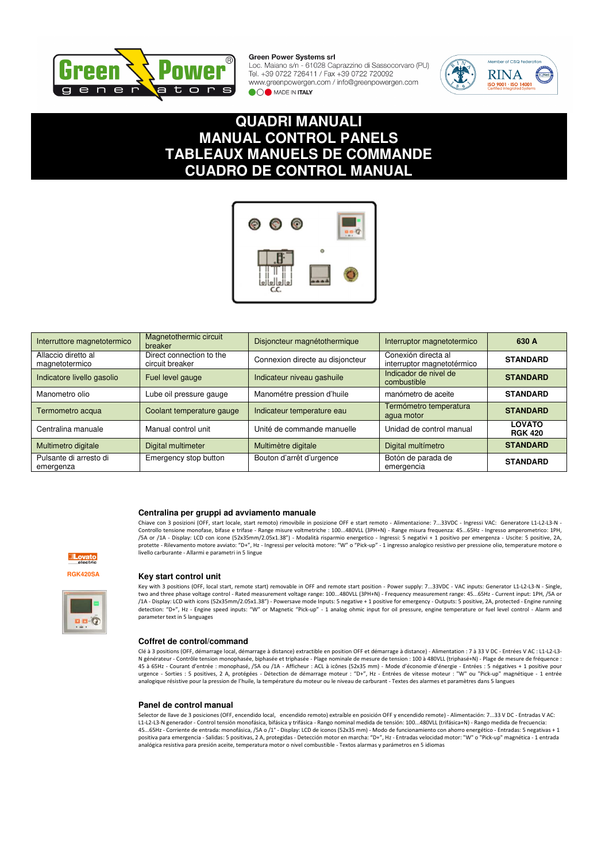

Loc. Maiano s/n - 61028 Caprazzino di Sassocorvaro (PU) Tel. +39 0722 726411 / Fax +39 0722 720092 www.greenpowergen.com / info@greenpowergen.com OO MADE IN ITALY



## **QUADRI MANUALI MANUAL CONTROL PANELS TABLEAUX MANUELS DE COMMANDE CUADRO DE CONTROL MANUAL**



| Interruttore magnetotermico           | Magnetothermic circuit<br>breaker           | Disjoncteur magnétothermique     | Interruptor magnetotermico                        | 630 A                           |
|---------------------------------------|---------------------------------------------|----------------------------------|---------------------------------------------------|---------------------------------|
| Allaccio diretto al<br>magnetotermico | Direct connection to the<br>circuit breaker | Connexion directe au disjoncteur | Conexión directa al<br>interruptor magnetotérmico | <b>STANDARD</b>                 |
| Indicatore livello gasolio            | Fuel level gauge                            | Indicateur niveau gashuile       | Indicador de nivel de<br>combustible              | <b>STANDARD</b>                 |
| Manometro olio                        | Lube oil pressure gauge                     | Manométre pression d'huile       | manómetro de aceite                               | <b>STANDARD</b>                 |
| Termometro acqua                      | Coolant temperature gauge                   | Indicateur temperature eau       | Termómetro temperatura<br>aqua motor              | <b>STANDARD</b>                 |
| Centralina manuale                    | Manual control unit                         | Unité de commande manuelle       | Unidad de control manual                          | <b>LOVATO</b><br><b>RGK 420</b> |
| Multimetro digitale                   | Digital multimeter                          | Multimètre digitale              | Digital multímetro                                | <b>STANDARD</b>                 |
| Pulsante di arresto di<br>emergenza   | Emergency stop button                       | Bouton d'arrêt d'urgence         | Botón de parada de<br>emergencia                  | <b>STANDARD</b>                 |

#### **Centralina per gruppi ad avviamento manuale**

Chiave con 3 posizioni (OFF, start locale, start remoto) rimovibile in posizione OFF e start remoto - Alimentazione: 7...33VDC - Ingressi VAC: Generatore L1-L2-L3-N - Controllo tensione monofase, bifase e trifase - Range misure voltmetriche : 100…480VLL (3PH+N) - Range misura frequenza: 45…65Hz - Ingresso amperometrico: 1PH,<br>/5A or /1A - Display: LCD con icone (52x35mm/2.05x1.38") - Mod protette - Rilevamento motore avviato: "D+", Hz - Ingressi per velocità motore: "W" o "Pick-up" - 1 ingresso analogico resistivo per pressione olio, temperature motore o livello carburante - Allarmi e parametri in 5 lingue





 $\blacksquare \blacksquare \lhd \lhd$ 

#### **Key start control unit**

Key with 3 positions (OFF, local start, remote start) removable in OFF and remote start position - Power supply: 7...33VDC - VAC inputs: Generator L1-L2-L3-N - Single, two and three phase voltage control - Rated measurement voltage range: 100...480VLL (3PH+N) - Frequency measurement range: 45...65Hz - Current input: 1PH, /5A or /1A - Display: LCD with icons (52x35mm/2.05x1.38") - Powersave mode Inputs: 5 negative + 1 positive for emergency - Outputs: 5 positive, 2A, protected - Engine running<br>detection: "D+", Hz - Engine speed inputs: "W" or Magn parameter text in 5 languages

#### **Coffret de control/command**

Clé à 3 positions (OFF, démarrage local, démarrage à distance) extractible en position OFF et démarrage à distance) - Alimentation : 7 à 33 V DC - Entrées V AC : L1-L2-L3- N générateur - Contrôle tension monophasée, biphasée et triphasée - Plage nominale de mesure de tension : 100 à 480VLL (triphasé+N) - Plage de mesure de fréquence : 45 à 65Hz - Courant d'entrée : monophasé, /5A ou /1A - Afficheur : ACL à icônes (52x35 mm) - Mode d'économie d'énergie - Entrées : 5 négatives + 1 positive pour<br>urgence - Sorties : 5 positives, 2 A, protégées - Détection d analogique résistive pour la pression de l'huile, la température du moteur ou le niveau de carburant - Textes des alarmes et paramètres dans 5 langues

#### **Panel de control manual**

Selector de llave de 3 posiciones (OFF, encendido local, encendido remoto) extraíble en posición OFF y encendido remote) - Alimentación: 7...33 V DC - Entradas V AC: L1-L2-L3-N generador - Control tensión monofásica, bifásica y trifásica - Rango nominal medida de tensión: 100...480VLL (trifásica+N) - Rango medida de frecuencia: 45...65Hz - Corriente de entrada: monofásica, /5A o /1° - Display: LCD de iconos (52x35 mm) - Modo de funcionamiento con ahorro energético - Entradas: 5 negativas + 1 positiva para emergencia - Salidas: 5 positivas, 2 A, protegidas - Detección motor en marcha: "D+", Hz - Entradas velocidad motor: "W" o "Pick-up" magnética - 1 entrada analógica resistiva para presión aceite, temperatura motor o nivel combustible - Textos alarmas y parámetros en 5 idiomas